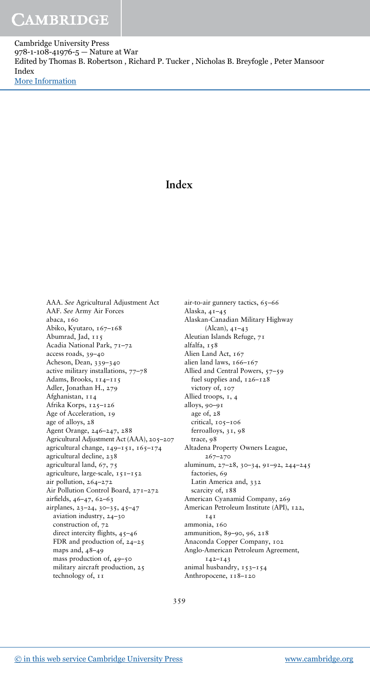Cambridge University Press 978-1-108-41976-5 — Nature at War Edited by Thomas B. Robertson , Richard P. Tucker , Nicholas B. Breyfogle , Peter Mansoor Index [More Information](www.cambridge.org/9781108419765)

## **Index**

AAA. *See* Agricultural Adjustment Act AAF. *See* Army Air Forces abaca, 160 Abiko, Kyutaro, 167–168 Abumrad, Jad, 115 Acadia National Park, 71–72 access roads, 39–40 Acheson, Dean, 339–340 active military installations, 77–78 Adams, Brooks, 114–115 Adler, Jonathan H., 279 Afghanistan, 114 Afrika Korps, 125–126 Age of Acceleration, 19 age of alloys, 28 Agent Orange, 246–247, 288 Agricultural Adjustment Act (AAA), 205–207 agricultural change, 149–151, 165–174 agricultural decline, 238 agricultural land, 67, 75 agriculture, large-scale, 151–152 air pollution, 264–272 Air Pollution Control Board, 271–272 airfields, 46–47, 62–63 airplanes, 23–24, 30–35, 45–47 aviation industry, 24–30 construction of, 72 direct intercity flights,  $45-46$ FDR and production of, 24–25 maps and, 48–49 mass production of, 49–50 military aircraft production, 25 technology of, 11

air-to-air gunnery tactics, 65–66 Alaska, 41–45 Alaskan-Canadian Military Highway (Alcan), 41–43 Aleutian Islands Refuge, 71 alfalfa, 158 Alien Land Act, 167 alien land laws, 166–167 Allied and Central Powers, 57–59 fuel supplies and, 126–128 victory of, 107 Allied troops, 1, 4 alloys, 90–91 age of, 28 critical, 105–106 ferroalloys, 31, 98 trace, 98 Altadena Property Owners League, 267–270 aluminum, 27–28, 30–34, 91–92, 244–245 factories, 69 Latin America and, 332 scarcity of,  $188$ American Cyanamid Company, 269 American Petroleum Institute (API), 122, 141 ammonia, 160 ammunition, 89–90, 96, 218 Anaconda Copper Company, 102 Anglo-American Petroleum Agreement, 142–143 animal husbandry, 153–154 Anthropocene, 118–120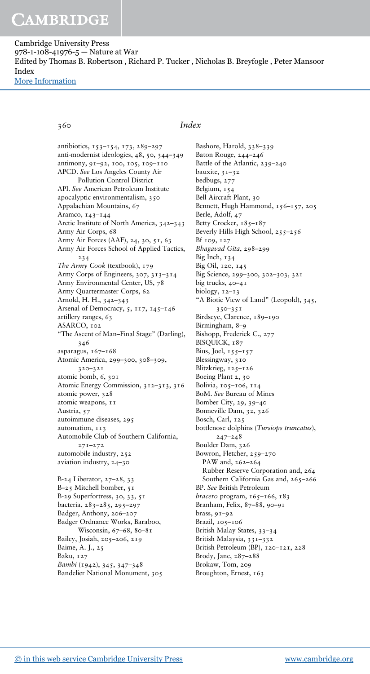Cambridge University Press 978-1-108-41976-5 — Nature at War Edited by Thomas B. Robertson , Richard P. Tucker , Nicholas B. Breyfogle , Peter Mansoor Index [More Information](www.cambridge.org/9781108419765)

360 *Index*

antibiotics, 153–154, 173, 289–297 anti-modernist ideologies, 48, 50, 344–349 antimony, 91–92, 100, 105, 109–110 APCD. *See* Los Angeles County Air Pollution Control District API. *See* American Petroleum Institute apocalyptic environmentalism, 350 Appalachian Mountains, 67 Aramco, 143–144 Arctic Institute of North America, 342–343 Army Air Corps, 68 Army Air Forces (AAF), 24, 30, 51, 63 Army Air Forces School of Applied Tactics, 234 *The Army Cook* (textbook), 179 Army Corps of Engineers, 307, 313–314 Army Environmental Center, US, 78 Army Quartermaster Corps, 62 Arnold, H. H., 342–343 Arsenal of Democracy, 5, 117, 145–146 artillery ranges, 63 ASARCO, 102 "The Ascent of Man–Final Stage" (Darling), 346 asparagus, 167–168 Atomic America, 299–300, 308–309, 320–321 atomic bomb, 6, 301 Atomic Energy Commission, 312–313, 316 atomic power, 328 atomic weapons, 11 Austria, 57 autoimmune diseases, 295 automation, 113 Automobile Club of Southern California, 271–272 automobile industry, 252 aviation industry, 24–30 B-24 Liberator, 27–28, 33 B–25 Mitchell bomber, 51 B-29 Superfortress, 30, 33, 51 bacteria, 283–285, 295–297 Badger, Anthony, 206–207 Badger Ordnance Works, Baraboo, Wisconsin, 67-68, 80-81 Bailey, Josiah, 205–206, 219 Baime, A. J., 25 Baku, 127 *Bambi* (1942), 345, 347–348

Bashore, Harold, 338–339 Baton Rouge, 244–246 Battle of the Atlantic, 239–240 bauxite, 31–32 bedbugs, 277 Belgium, 154 Bell Aircraft Plant, 30 Bennett, Hugh Hammond, 156-157, 205 Berle, Adolf, 47 Betty Crocker, 185-187 Beverly Hills High School, 255–256 Bf 109, 127 *Bhagavad Gita*, 298–299 Big Inch, 134 Big Oil, 120, 145 Big Science, 299–300, 302–303, 321 big trucks, 40–41 biology, 12–13 "A Biotic View of Land" (Leopold), 345, 350–351 Birdseye, Clarence, 189-190 Birmingham, 8–9 Bishopp, Frederick C., 277 BISQUICK, 187 Bius, Joel, 155–157 Blessingway, 310 Blitzkrieg, 125–126 Boeing Plant 2, 30 Bolivia, 105–106, 114 BoM. *See* Bureau of Mines Bomber City, 29, 39–40 Bonneville Dam, 32, 326 Bosch, Carl, 125 bottlenose dolphins (*Tursiops truncatus*), 247–248 Boulder Dam, 326 Bowron, Fletcher, 259–270 PAW and, 262–264 Rubber Reserve Corporation and, 264 Southern California Gas and, 265-266 BP. *See* British Petroleum *bracero* program, 165–166, 183 Branham, Felix, 87–88, 90–91 brass, 91–92 Brazil, 105–106 British Malay States, 33–34 British Malaysia, 331–332 British Petroleum (BP), 120–121, 228 Brody, Jane, 287–288 Brokaw, Tom, 209 Broughton, Ernest, 163

Bandelier National Monument, 305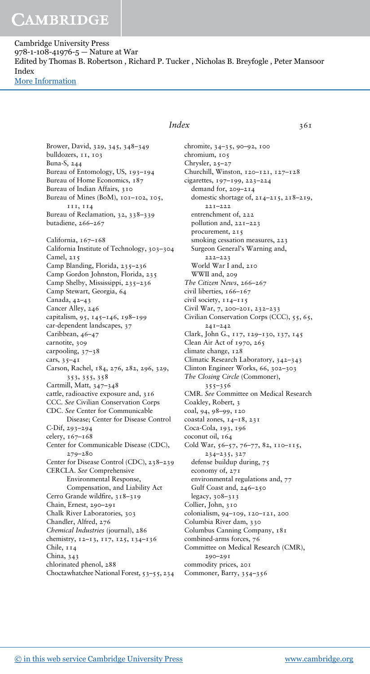Cambridge University Press 978-1-108-41976-5 — Nature at War Edited by Thomas B. Robertson , Richard P. Tucker , Nicholas B. Breyfogle , Peter Mansoor Index [More Information](www.cambridge.org/9781108419765)

Brower, David, 329, 345, 348–349 bulldozers, 11, 103 Buna-S, 244 Bureau of Entomology, US, 193–194 Bureau of Home Economics, 187 Bureau of Indian Affairs, 310 Bureau of Mines (BoM), 101-102, 105, 111, 114 Bureau of Reclamation, 32, 338–339 butadiene, 266–267 California, 167-168 California Institute of Technology, 303–304 Camel, 215 Camp Blanding, Florida, 235-236 Camp Gordon Johnston, Florida, 235 Camp Shelby, Mississippi, 235–236 Camp Stewart, Georgia, 64 Canada, 42–43 Cancer Alley, 246 capitalism, 95, 145–146, 198–199 car-dependent landscapes, 37 Caribbean, 46–47 carnotite, 309 carpooling, 37–38 cars, 35–41 Carson, Rachel, 184, 276, 282, 296, 329, 353, 355, 358 Cartmill, Matt, 347–348 cattle, radioactive exposure and, 316 CCC. *See* Civilian Conservation Corps CDC. *See* Center for Communicable Disease; Center for Disease Control C-Dif, 293–294 celery, 167–168 Center for Communicable Disease (CDC), 279–280 Center for Disease Control (CDC), 238–239 CERCLA. *See* Comprehensive Environmental Response, Compensation, and Liability Act Cerro Grande wildfire, 318–319 Chain, Ernest, 290–291 Chalk River Laboratories, 303 Chandler, Alfred, 276 *Chemical Industries* (journal), 286 chemistry, 12–13, 117, 125, 134–136 Chile, 114 China, 343 chlorinated phenol, 288 Choctawhatchee National Forest, 53–55, 234

### *Index* 361

chromite, 34–35, 90–92, 100 chromium, 105 Chrysler, 25–27 Churchill, Winston, 120–121, 127–128 cigarettes, 197–199, 223–224 demand for, 209–214 domestic shortage of, 214–215, 218–219, 221–222 entrenchment of, 222 pollution and, 221–223 procurement, 215 smoking cessation measures, 223 Surgeon General's Warning and, 222–223 World War I and, 210 WWII and, 209 *The Citizen News*, 266–267 civil liberties, 166–167 civil society, 114–115 Civil War, 7, 200–201, 232–233 Civilian Conservation Corps (CCC), 55, 65, 241–242 Clark, John G., 117, 129–130, 137, 145 Clean Air Act of 1970, 265 climate change, 128 Climatic Research Laboratory, 342–343 Clinton Engineer Works, 66, 302–303 *The Closing Circle* (Commoner), 355–356 CMR. *See* Committee on Medical Research Coakley, Robert, 3 coal, 94, 98–99, 120 coastal zones, 14–18, 231 Coca-Cola, 193, 196 coconut oil, 164 Cold War, 56–57, 76–77, 82, 110–115, 234–235, 327 defense buildup during, 75 economy of, 271 environmental regulations and, 77 Gulf Coast and, 246–250 legacy, 308–313 Collier, John, 310 colonialism, 94–109, 120–121, 200 Columbia River dam, 330 Columbus Canning Company, 181 combined-arms forces, 76 Committee on Medical Research (CMR), 290–291 commodity prices, 201 Commoner, Barry, 354–356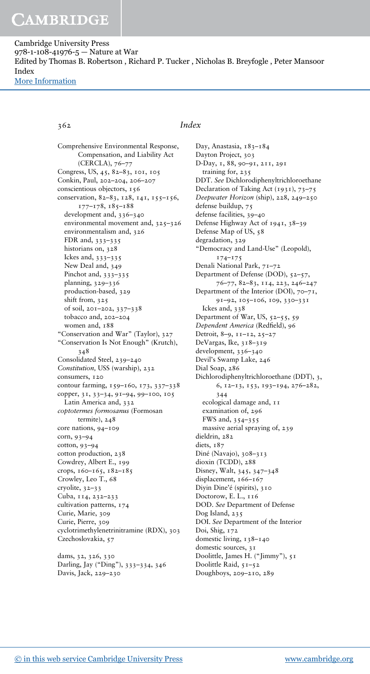Cambridge University Press 978-1-108-41976-5 — Nature at War Edited by Thomas B. Robertson , Richard P. Tucker , Nicholas B. Breyfogle , Peter Mansoor Index [More Information](www.cambridge.org/9781108419765)

### 362 *Index*

Comprehensive Environmental Response, Compensation, and Liability Act (CERCLA), 76–77 Congress, US, 45, 82–83, 101, 105 Conkin, Paul, 202–204, 206–207 conscientious objectors, 156 conservation, 82-83, 128, 141, 155-156, 177–178, 185–188 development and, 336–340 environmental movement and, 325–326 environmentalism and, 326 FDR and, 333–335 historians on, 328 Ickes and, 333–335 New Deal and, 349 Pinchot and, 333–335 planning, 329–336 production-based, 329 shift from, 325 of soil, 201–202, 337–338 tobacco and, 202–204 women and, 188 "Conservation and War" (Taylor), 327 "Conservation Is Not Enough" (Krutch), 348 Consolidated Steel, 239–240 *Constitution,* USS (warship), 232 consumers, 120 contour farming, 159–160, 173, 337–338 copper, 31, 33–34, 91–94, 99–100, 105 Latin America and, 332 *coptotermes formosanus* (Formosan termite), 248 core nations, 94–109 corn, 93–94 cotton, 93–94 cotton production, 238 Cowdrey, Albert E., 199 crops, 160–165, 182–185 Crowley, Leo T., 68 cryolite, 32–33 Cuba, 114, 232–233 cultivation patterns, 174 Curie, Marie, 309 Curie, Pierre, 309 cyclotrimethylenetrinitramine (RDX), 303 Czechoslovakia, 57 dams, 32, 326, 330

Darling, Jay ("Ding"), 333–334, 346 Davis, Jack, 229–230

Day, Anastasia, 183-184 Dayton Project, 303 D-Day, 1, 88, 90–91, 211, 291 training for, 235 DDT. *See* Dichlorodiphenyltrichloroethane Declaration of Taking Act (1931), 73-75 *Deepwater Horizon* (ship), 228, 249–250 defense buildup, 75 defense facilities, 39–40 Defense Highway Act of 1941, 38–39 Defense Map of US, 58 degradation, 329 "Democracy and Land-Use" (Leopold), 174–175 Denali National Park, 71–72 Department of Defense (DOD), 52–57, 76–77, 82–83, 114, 223, 246–247 Department of the Interior (DOI), 70–71, 91–92, 105–106, 109, 330–331 Ickes and, 338 Department of War, US, 52–55, 59 *Dependent America* (Redfield), 96 Detroit, 8–9, 11–12, 25–27 DeVargas, Ike, 318–319 development, 336–340 Devil's Swamp Lake, 246 Dial Soap, 286 Dichlorodiphenyltrichloroethane (DDT), 3, 6, 12–13, 153, 193–194, 276–282, 344 ecological damage and, 11 examination of, 296 FWS and, 354–355 massive aerial spraying of, 239 dieldrin, 282 diets, 187 Diné (Navajo), 308–313 dioxin (TCDD), 288 Disney, Walt, 345, 347–348 displacement, 166-167 Diyin Dine'é (spirits), 310 Doctorow, E. L., 116 DOD. *See* Department of Defense Dog Island, 235 DOI. *See* Department of the Interior Doi, Shig, 172 domestic living, 138–140 domestic sources, 31 Doolittle, James H. ("Jimmy"), 51 Doolittle Raid, 51–52 Doughboys, 209–210, 289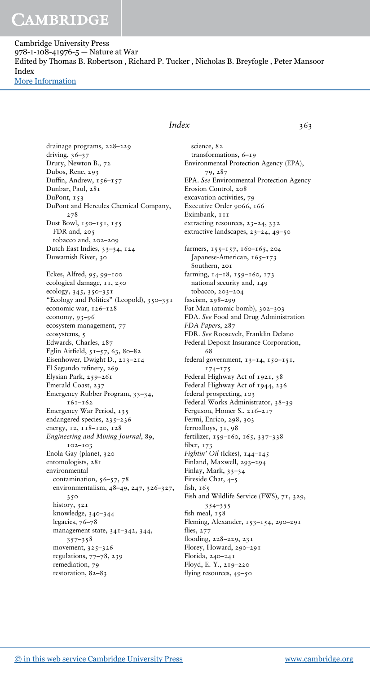Cambridge University Press 978-1-108-41976-5 — Nature at War Edited by Thomas B. Robertson , Richard P. Tucker , Nicholas B. Breyfogle , Peter Mansoor Index [More Information](www.cambridge.org/9781108419765)

> drainage programs, 228–229 driving, 36–37 Drury, Newton B., 72 Dubos, Rene, 293 Duffin, Andrew, 156–157 Dunbar, Paul, 281 DuPont, 153 DuPont and Hercules Chemical Company, 278 Dust Bowl, 150–151, 155 FDR and, 205 tobacco and, 202–209 Dutch East Indies, 33–34, 124 Duwamish River, 30 Eckes, Alfred, 95, 99–100 ecological damage, 11, 250 ecology, 345, 350–351 "Ecology and Politics" (Leopold), 350–351 economic war, 126–128 economy, 93–96 ecosystem management, 77 ecosystems, 5 Edwards, Charles, 287 Eglin Airfield, 51–57, 63, 80–82 Eisenhower, Dwight D., 213–214 El Segundo refinery, 269 Elysian Park, 259–261 Emerald Coast, 237 Emergency Rubber Program, 33–34, 161–162 Emergency War Period, 135 endangered species, 235–236 energy, 12, 118–120, 128 *Engineering and Mining Journal*, 89, 102–103 Enola Gay (plane), 320 entomologists, 281 environmental contamination,  $56-57$ ,  $78$ environmentalism, 48–49, 247, 326–327, 350 history, 321 knowledge, 340–344 legacies, 76–78 management state, 341–342, 344, 357–358 movement, 325–326 regulations, 77–78, 239 remediation, 79 restoration, 82–83

### *Index* 363

science, 82 transformations, 6–19 Environmental Protection Agency (EPA), 79, 287 EPA. *See* Environmental Protection Agency Erosion Control, 208 excavation activities, 79 Executive Order 9066, 166 Eximbank, 111 extracting resources, 23–24, 332 extractive landscapes, 23–24, 49–50 farmers, 155–157, 160–165, 204 Japanese-American, 165-173 Southern, 201 farming, 14–18, 159–160, 173 national security and, 149 tobacco, 203–204 fascism, 298–299 Fat Man (atomic bomb), 302–303 FDA. *See* Food and Drug Administration *FDA Papers*, 287 FDR. *See* Roosevelt, Franklin Delano Federal Deposit Insurance Corporation, 68 federal government, 13–14, 150–151, 174–175 Federal Highway Act of 1921, 38 Federal Highway Act of 1944, 236 federal prospecting, 103 Federal Works Administrator, 38–39 Ferguson, Homer S., 216–217 Fermi, Enrico, 298, 303 ferroalloys, 31, 98 fertilizer, 159–160, 165, 337–338 fiber, 173 *Fightin' Oil* (Ickes), 144–145 Finland, Maxwell, 293–294 Finlay, Mark, 33–34 Fireside Chat, 4–5 fish, 165 Fish and Wildlife Service (FWS), 71, 329, 354–355 fish meal, 158 Fleming, Alexander, 153–154, 290–291 flies, 277 flooding, 228–229, 231 Florey, Howard, 290–291 Florida, 240–241 Floyd, E. Y., 219–220 flying resources, 49–50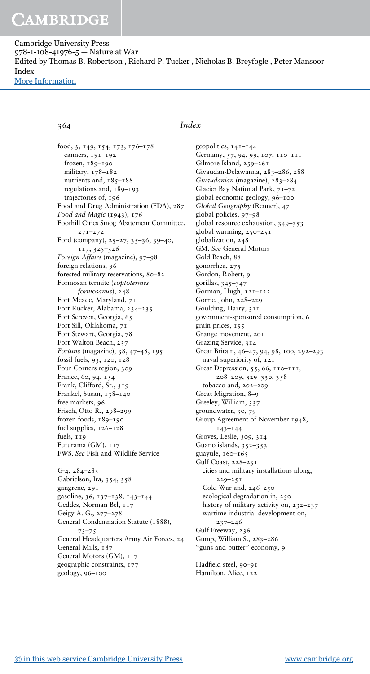Cambridge University Press 978-1-108-41976-5 — Nature at War Edited by Thomas B. Robertson , Richard P. Tucker , Nicholas B. Breyfogle , Peter Mansoor Index [More Information](www.cambridge.org/9781108419765)

364 *Index*

geopolitics, 141–144

Gilmore Island, 259–261

Germany, 57, 94, 99, 107, 110–111

Givaudan-Delawanna, 283–286, 288 *Givaudanian* (magazine), 283–284

food, 3, 149, 154, 173, 176–178 canners, 191–192 frozen, 189–190 military, 178–182 nutrients and,  $185 - 188$ regulations and, 189–193 trajectories of, 196 Food and Drug Administration (FDA), 287 *Food and Magic* (1943), 176 Foothill Cities Smog Abatement Committee, 271–272 Ford (company), 25–27, 35–36, 39–40, 117, 325–326 *Foreign Affairs* (magazine), 97–98 foreign relations, 96 forested military reservations, 80–82 Formosan termite (*coptotermes formosanus*), 248 Fort Meade, Maryland, 71 Fort Rucker, Alabama, 234–235 Fort Screven, Georgia, 65 Fort Sill, Oklahoma, 71 Fort Stewart, Georgia, 78 Fort Walton Beach, 237 *Fortune* (magazine), 38, 47–48, 195 fossil fuels, 93, 120, 128 Four Corners region, 309 France, 60, 94, 154 Frank, Clifford, Sr., 319 Frankel, Susan, 138–140 free markets, 96 Frisch, Otto R., 298–299 frozen foods, 189–190 fuel supplies, 126–128 fuels, 119 Futurama (GM), 117 FWS. *See* Fish and Wildlife Service G-4, 284–285 Gabrielson, Ira, 354, 358 gangrene, 291 gasoline, 36, 137–138, 143–144 Geddes, Norman Bel, 117 Geigy A. G., 277–278 General Condemnation Statute (1888), 73–75 General Headquarters Army Air Forces, 24 General Mills, 187 General Motors (GM),  $117$ 

Glacier Bay National Park, 71–72 global economic geology, 96–100 *Global Geography* (Renner), 47 global policies, 97–98 global resource exhaustion, 349–353 global warming, 250–251 globalization, 248 GM. *See* General Motors Gold Beach, 88 gonorrhea, 275 Gordon, Robert, 9 gorillas, 345–347 Gorman, Hugh, 121–122 Gorrie, John, 228–229 Goulding, Harry, 311 government-sponsored consumption, 6 grain prices, 155 Grange movement, 201 Grazing Service, 314 Great Britain, 46–47, 94, 98, 100, 292–293 naval superiority of, 121 Great Depression, 55, 66, 110–111, 208–209, 329–330, 358 tobacco and, 202–209 Great Migration, 8–9 Greeley, William, 337 groundwater, 30, 79 Group Agreement of November 1948, 143–144 Groves, Leslie, 309, 314 Guano islands, 352–353 guayule, 160–165 Gulf Coast, 228–231 cities and military installations along, 229–251 Cold War and, 246–250 ecological degradation in, 250 history of military activity on, 232-237 wartime industrial development on, 237–246 Gulf Freeway, 236 Gump, William S., 283–286 "guns and butter" economy, 9 Hadfield steel, 90-91 Hamilton, Alice, 122

geographic constraints, 177

geology, 96–100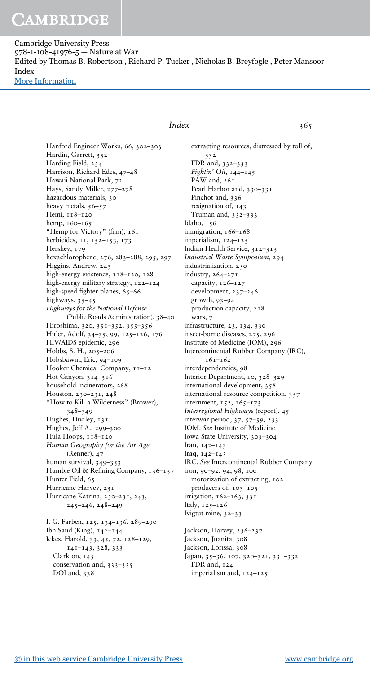Cambridge University Press 978-1-108-41976-5 — Nature at War Edited by Thomas B. Robertson , Richard P. Tucker , Nicholas B. Breyfogle , Peter Mansoor Index [More Information](www.cambridge.org/9781108419765)

> Hanford Engineer Works, 66, 302–303 Hardin, Garrett, 352 Harding Field, 234 Harrison, Richard Edes, 47–48 Hawaii National Park, 72 Hays, Sandy Miller, 277–278 hazardous materials, 30 heavy metals, 56–57 Hemi, 118–120 hemp, 160-165 "Hemp for Victory" (film),  $161$ herbicides, 11, 152-153, 173 Hershey, 179 hexachlorophene, 276, 283–288, 295, 297 Higgins, Andrew, 243 high-energy existence,  $118-120$ ,  $128$ high-energy military strategy, 122–124 high-speed fighter planes, 65-66 highways, 35–45 *Highways for the National Defense* (Public Roads Administration), 38–40 Hiroshima, 320, 351–352, 355–356 Hitler, Adolf, 34–35, 99, 125–126, 176 HIV/AIDS epidemic, 296 Hobbs, S. H., 205–206 Hobsbawm, Eric, 94–109 Hooker Chemical Company,  $11-12$ Hot Canyon, 314–316 household incinerators, 268 Houston, 230–231, 248 "How to Kill a Wilderness" (Brower), 348–349 Hughes, Dudley, 131 Hughes, Jeff A., 299–300 Hula Hoops, 118-120 *Human Geography for the Air Age* (Renner), 47 human survival, 349–353 Humble Oil & Refining Company, 136–137 Hunter Field, 65 Hurricane Harvey, 231 Hurricane Katrina, 230–231, 243, 245–246, 248–249

I. G. Farben, 125, 134–136, 289–290 Ibn Saud (King), 142–144 Ickes, Harold, 33, 45, 72, 128–129, 141–143, 328, 333 Clark on, 145 conservation and, 333–335 DOI and, 338

### *Index* 365

extracting resources, distressed by toll of, 332 FDR and, 332–333 *Fightin' Oil*, 144–145 PAW and, 261 Pearl Harbor and, 330–331 Pinchot and, 336 resignation of, 143 Truman and, 332–333 Idaho, 156 immigration, 166–168 imperialism, 124–125 Indian Health Service, 312–313 *Industrial Waste Symposium*, 294 industrialization, 250 industry, 264–271 capacity, 126-127 development, 237–246 growth, 93–94 production capacity, 218 wars, 7 infrastructure, 23, 134, 330 insect-borne diseases, 275, 296 Institute of Medicine (IOM), 296 Intercontinental Rubber Company (IRC), 161–162 interdependencies, 98 Interior Department, 10, 328–329 international development, 358 international resource competition, 357 internment, 152, 165-173 *Interregional Highways* (report), 45 interwar period, 37, 57–59, 233 IOM. *See* Institute of Medicine Iowa State University, 303–304 Iran, 142–143 Iraq, 142–143 IRC. *See* Intercontinental Rubber Company iron, 90–92, 94, 98, 100 motorization of extracting, 102 producers of, 103–105 irrigation, 162–163, 331 Italy, 125–126 Ivigtut mine, 32–33 Jackson, Harvey, 236–237 Jackson, Juanita, 308 Jackson, Lorissa, 308 Japan, 35–36, 107, 320–321, 331–332

FDR and, 124

imperialism and, 124–125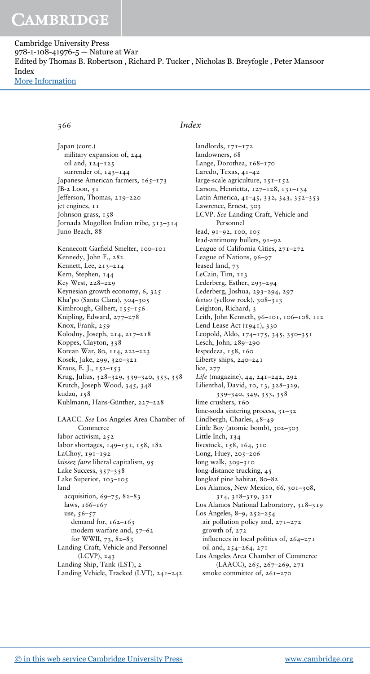Cambridge University Press 978-1-108-41976-5 — Nature at War Edited by Thomas B. Robertson , Richard P. Tucker , Nicholas B. Breyfogle , Peter Mansoor Index [More Information](www.cambridge.org/9781108419765)

Japan (cont.) military expansion of, 244 oil and, 124–125 surrender of, 143–144 Japanese American farmers, 165-173 JB-2 Loon, 51 Jefferson, Thomas, 219–220 jet engines, 11 Johnson grass, 158 Jornada Mogollon Indian tribe, 313–314 Juno Beach, 88 Kennecott Garfield Smelter, 100–101 Kennedy, John F., 282 Kennett, Lee, 213–214 Kern, Stephen, 144 Key West, 228–229 Keynesian growth economy, 6, 325 Kha'po (Santa Clara), 304–305 Kimbrough, Gilbert, 155–156 Knipling, Edward, 277–278 Knox, Frank, 259 Kolodny, Joseph, 214, 217–218 Koppes, Clayton, 338 Korean War, 80, 114, 222–223 Kosek, Jake, 299, 320–321 Kraus, E. J., 152–153 Krug, Julius, 328–329, 339–340, 353, 358 Krutch, Joseph Wood, 345, 348 kudzu, 158 Kuhlmann, Hans-Günther, 227–228 LAACC. *See* Los Angeles Area Chamber of Commerce labor activism, 252 labor shortages, 149–151, 158, 182 LaChoy, 191–192 *laissez faire* liberal capitalism, 95 Lake Success, 357–358 Lake Superior, 103-105 land acquisition, 69–75, 82–83 laws, 166–167 use, 56–57 demand for, 162–163 modern warfare and, 57–62 for WWII, 73, 82–83 Landing Craft, Vehicle and Personnel (LCVP), 243 Landing Ship, Tank (LST), 2 Landing Vehicle, Tracked (LVT), 241–242

### 366 *Index*

landlords, 171–172 landowners, 68 Lange, Dorothea, 168–170 Laredo, Texas, 41–42 large-scale agriculture, 151–152 Larson, Henrietta, 127–128, 131–134 Latin America, 41–45, 332, 343, 352–353 Lawrence, Ernest, 303 LCVP. *See* Landing Craft, Vehicle and Personnel lead, 91–92, 100, 105 lead-antimony bullets, 91–92 League of California Cities, 271–272 League of Nations, 96–97 leased land, 73 LeCain, Tim, 113 Lederberg, Esther, 293–294 Lederberg, Joshua, 293–294, 297 *łeetso* (yellow rock), 308–313 Leighton, Richard, 3 Leith, John Kenneth, 96–101, 106–108, 112 Lend Lease Act (1941), 330 Leopold, Aldo, 174–175, 345, 350–351 Lesch, John, 289–290 lespedeza, 158, 160 Liberty ships, 240–241 lice, 277 *Life* (magazine), 44, 241–242, 292 Lilienthal, David, 10, 13, 328–329, 339–340, 349, 353, 358 lime crushers, 160 lime-soda sintering process, 31–32 Lindbergh, Charles, 48–49 Little Boy (atomic bomb), 302–303 Little Inch, 134 livestock, 158, 164, 310 Long, Huey, 205–206 long walk, 309–310 long-distance trucking, 45 longleaf pine habitat, 80-82 Los Alamos, New Mexico, 66, 301–308, 314, 318–319, 321 Los Alamos National Laboratory, 318–319 Los Angeles, 8–9, 252–254 air pollution policy and, 271–272 growth of, 272 influences in local politics of, 264–271 oil and, 254–264, 271 Los Angeles Area Chamber of Commerce (LAACC), 265, 267–269, 271 smoke committee of, 261–270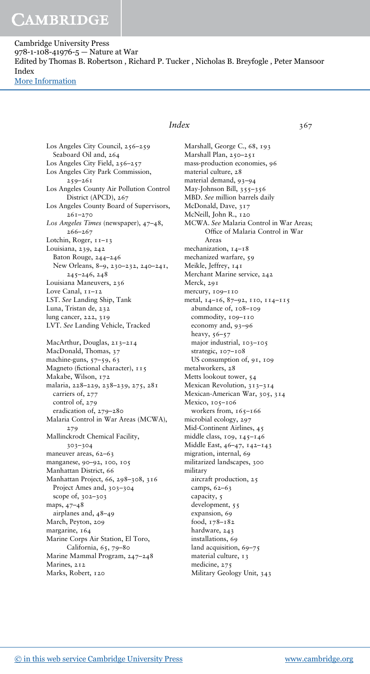Cambridge University Press 978-1-108-41976-5 — Nature at War Edited by Thomas B. Robertson , Richard P. Tucker , Nicholas B. Breyfogle , Peter Mansoor Index [More Information](www.cambridge.org/9781108419765)

> Los Angeles City Council, 256–259 Seaboard Oil and, 264 Los Angeles City Field, 256–257 Los Angeles City Park Commission, 259–261 Los Angeles County Air Pollution Control District (APCD), 267 Los Angeles County Board of Supervisors, 261–270 *Los Angeles Times* (newspaper), 47–48, 266–267 Lotchin, Roger, 11-13 Louisiana, 239, 242 Baton Rouge, 244–246 New Orleans, 8–9, 230–232, 240–241, 245–246, 248 Louisiana Maneuvers, 236 Love Canal,  $11-12$ LST. *See* Landing Ship, Tank Luna, Tristan de, 232 lung cancer, 222, 319 LVT. *See* Landing Vehicle, Tracked MacArthur, Douglas, 213–214 MacDonald, Thomas, 37 machine-guns, 57–59, 63 Magneto (fictional character), 115 Makabe, Wilson, 172 malaria, 228–229, 238–239, 275, 281 carriers of, 277 control of, 279 eradication of, 279–280 Malaria Control in War Areas (MCWA), 279 Mallinckrodt Chemical Facility, 303–304 maneuver areas, 62–63 manganese, 90–92, 100, 105 Manhattan District, 66 Manhattan Project, 66, 298–308, 316 Project Ames and, 303–304 scope of, 302–303 maps, 47–48 airplanes and, 48–49 March, Peyton, 209 margarine, 164 Marine Corps Air Station, El Toro, California, 65, 79–80 Marine Mammal Program, 247–248 Marines, 212 Marks, Robert, 120

### *Index* 367

Marshall, George C., 68, 193 Marshall Plan, 250–251 mass-production economies, 96 material culture, 28 material demand, 93–94 May-Johnson Bill, 355–356 MBD. *See* million barrels daily McDonald, Dave, 317 McNeill, John R., 120 MCWA. *See* Malaria Control in War Areas; Office of Malaria Control in War Areas mechanization, 14–18 mechanized warfare, 59 Meikle, Jeffrey, 141 Merchant Marine service, 242 Merck, 291 mercury, 109–110 metal, 14–16, 87–92, 110, 114–115 abundance of, 108–109 commodity, 109-110 economy and, 93–96 heavy, 56–57 major industrial, 103–105 strategic, 107–108 US consumption of, 91, 109 metalworkers, 28 Metts lookout tower, 54 Mexican Revolution, 313–314 Mexican-American War, 305, 314 Mexico, 105–106 workers from, 165-166 microbial ecology, 297 Mid-Continent Airlines, 45 middle class, 109, 145–146 Middle East, 46–47, 142–143 migration, internal, 69 militarized landscapes, 300 military aircraft production, 25 camps, 62–63 capacity, 5 development, 55 expansion, 69 food, 178–182 hardware, 243 installations, 69 land acquisition, 69-75 material culture, 13 medicine, 275 Military Geology Unit, 343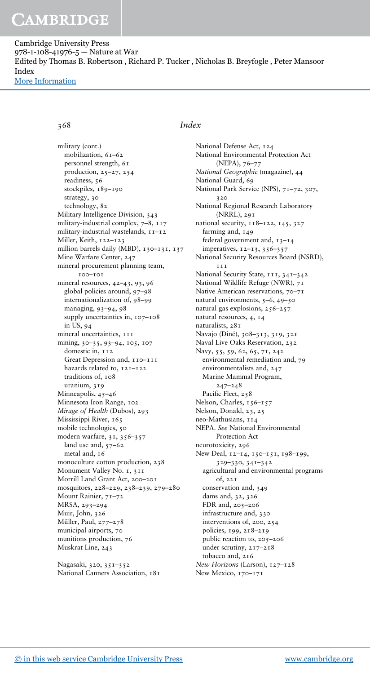Cambridge University Press 978-1-108-41976-5 — Nature at War Edited by Thomas B. Robertson , Richard P. Tucker , Nicholas B. Breyfogle , Peter Mansoor Index [More Information](www.cambridge.org/9781108419765)

military (cont.) mobilization, 61–62 personnel strength, 61 production, 25–27, 254 readiness, 56 stockpiles, 189-190 strategy, 30 technology, 82 Military Intelligence Division, 343 military-industrial complex, 7–8, 117 military-industrial wastelands, 11–12 Miller, Keith, 122–123 million barrels daily (MBD), 130-131, 137 Mine Warfare Center, 247 mineral procurement planning team, 100–101 mineral resources, 42–43, 93, 96 global policies around, 97–98 internationalization of, 98–99 managing, 93–94, 98 supply uncertainties in, 107–108 in US, 94 mineral uncertainties, 111 mining, 30–35, 93–94, 105, 107 domestic in, 112 Great Depression and,  $110 - 111$ hazards related to, 121–122 traditions of, 108 uranium, 319 Minneapolis, 45–46 Minnesota Iron Range, 102 *Mirage of Health* (Dubos), 293 Mississippi River, 165 mobile technologies, 50 modern warfare, 31, 356–357 land use and, 57-62 metal and, 16 monoculture cotton production, 238 Monument Valley No. 1, 311 Morrill Land Grant Act, 200–201 mosquitoes, 228–229, 238–239, 279–280 Mount Rainier, 71–72 MRSA, 293–294 Muir, John, 326 Műller, Paul, 277–278 municipal airports, 70 munitions production, 76 Muskrat Line, 243

Nagasaki, 320, 351–352 National Canners Association, 181

### 368 *Index*

National Defense Act, 124 National Environmental Protection Act (NEPA), 76–77 *National Geographic* (magazine), 44 National Guard, 69 National Park Service (NPS), 71–72, 307, 320 National Regional Research Laboratory (NRRL), 291 national security, 118–122, 145, 327 farming and,  $149$ federal government and, 13–14 imperatives, 12–13, 356–357 National Security Resources Board (NSRD), **111** National Security State, 111, 341–342 National Wildlife Refuge (NWR), 71 Native American reservations, 70–71 natural environments, 5–6, 49–50 natural gas explosions, 256–257 natural resources, 4, 14 naturalists, 281 Navajo (Diné), 308–313, 319, 321 Naval Live Oaks Reservation, 232 Navy, 55, 59, 62, 65, 71, 242 environmental remediation and, 79 environmentalists and, 247 Marine Mammal Program, 247–248 Pacific Fleet, 258 Nelson, Charles, 156-157 Nelson, Donald, 23, 25 neo-Mathusians, 114 NEPA. *See* National Environmental Protection Act neurotoxicity, 296 New Deal, 12–14, 150–151, 198–199, 329–330, 341–342 agricultural and environmental programs of, 221 conservation and, 349 dams and, 32, 326 FDR and, 205–206 infrastructure and, 330 interventions of, 200, 254 policies, 199, 218–219 public reaction to, 205–206 under scrutiny, 217–218 tobacco and, 216 *New Horizons* (Larson), 127–128 New Mexico, 170–171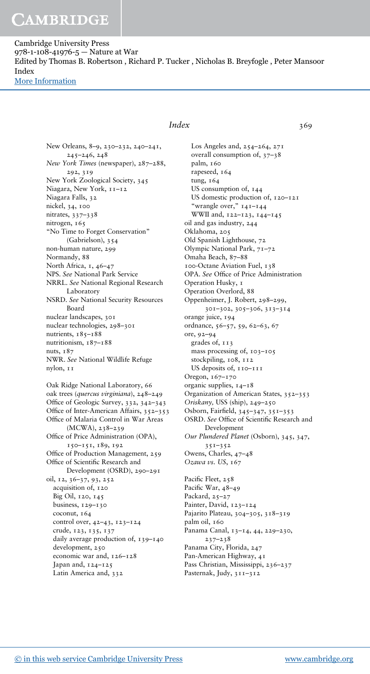Cambridge University Press 978-1-108-41976-5 — Nature at War Edited by Thomas B. Robertson , Richard P. Tucker , Nicholas B. Breyfogle , Peter Mansoor Index [More Information](www.cambridge.org/9781108419765)

> New Orleans, 8–9, 230–232, 240–241, 245–246, 248 *New York Times* (newspaper), 287–288, 292, 319 New York Zoological Society, 345 Niagara, New York, 11–12 Niagara Falls, 32 nickel, 34, 100 nitrates, 337–338 nitrogen, 165 "No Time to Forget Conservation" (Gabrielson), 354 non-human nature, 299 Normandy, 88 North Africa, 1, 46-47 NPS. *See* National Park Service NRRL. *See* National Regional Research Laboratory NSRD. *See* National Security Resources Board nuclear landscapes, 301 nuclear technologies, 298–301 nutrients, 185-188 nutritionism, 187–188 nuts, 187 NWR. *See* National Wildlife Refuge nylon, 11 Oak Ridge National Laboratory, 66 oak trees (*quercus virginiana*), 248–249 Office of Geologic Survey, 332, 342–343 Office of Inter-American Affairs, 352–353 Office of Malaria Control in War Areas (MCWA), 238–239 Office of Price Administration (OPA), 150–151, 189, 192 Office of Production Management, 259 Office of Scientific Research and Development (OSRD), 290–291 oil, 12, 36–37, 93, 252 acquisition of, 120 Big Oil, 120, 145 business, 129–130 coconut, 164 control over, 42–43, 123–124 crude, 123, 135, 137 daily average production of, 139–140 development, 250 economic war and, 126–128 Japan and,  $124-125$ Latin America and, 332

#### *Index* 369

Los Angeles and, 254–264, 271 overall consumption of, 37–38 palm, 160 rapeseed, 164 tung, 164 US consumption of, 144 US domestic production of, 120–121 "wrangle over," 141–144 WWII and, 122–123, 144–145 oil and gas industry, 244 Oklahoma, 205 Old Spanish Lighthouse, 72 Olympic National Park, 71–72 Omaha Beach, 87–88 100-Octane Aviation Fuel, 138 OPA. *See* Office of Price Administration Operation Husky, 1 Operation Overlord, 88 Oppenheimer, J. Robert, 298–299, 301–302, 305–306, 313–314 orange juice, 194 ordnance, 56–57, 59, 62–63, 67 ore, 92–94 grades of, 113 mass processing of, 103–105 stockpiling, 108, 112 US deposits of, 110–111 Oregon, 167–170 organic supplies, 14–18 Organization of American States, 352–353 *Oriskany,* USS (ship), 249–250 Osborn, Fairfield, 345–347, 351–353 OSRD. *See* Office of Scientific Research and Development *Our Plundered Planet* (Osborn), 345, 347, 351–352 Owens, Charles, 47–48 *Ozawa vs. US*, 167 Pacific Fleet, 258 Pacific War, 48–49 Packard, 25–27 Painter, David, 123–124 Pajarito Plateau, 304–305, 318–319 palm oil, 160 Panama Canal, 13–14, 44, 229–230, 237–238 Panama City, Florida, 247 Pan-American Highway, 41 Pass Christian, Mississippi, 236–237 Pasternak, Judy, 311–312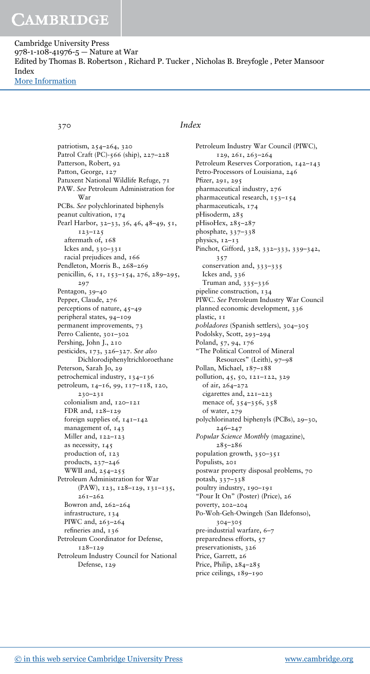Cambridge University Press 978-1-108-41976-5 — Nature at War Edited by Thomas B. Robertson , Richard P. Tucker , Nicholas B. Breyfogle , Peter Mansoor Index [More Information](www.cambridge.org/9781108419765)

370 *Index*

patriotism, 254–264, 320 Patrol Craft (PC)-566 (ship), 227–228 Patterson, Robert, 92 Patton, George, 127 Patuxent National Wildlife Refuge, 71 PAW. *See* Petroleum Administration for War PCBs. *See* polychlorinated biphenyls peanut cultivation, 174 Pearl Harbor, 32–33, 36, 46, 48–49, 51, 123–125 aftermath of, 168 Ickes and, 330–331 racial prejudices and, 166 Pendleton, Morris B., 268–269 penicillin, 6, 11, 153–154, 276, 289–295, 297 Pentagon, 39–40 Pepper, Claude, 276 perceptions of nature, 45–49 peripheral states, 94–109 permanent improvements, 73 Perro Caliente, 301–302 Pershing, John J., 210 pesticides, 173, 326–327. *See also* Dichlorodiphenyltrichloroethane Peterson, Sarah Jo, 29 petrochemical industry, 134–136 petroleum, 14–16, 99, 117–118, 120, 230–231 colonialism and, 120–121 FDR and, 128–129 foreign supplies of, 141–142 management of, 143 Miller and, 122–123 as necessity, 145 production of, 123 products, 237–246 WWII and, 254–255 Petroleum Administration for War (PAW), 123, 128–129, 131–135,  $261 - 262$ Bowron and, 262–264 infrastructure, 134 PIWC and, 263–264 refineries and, 136 Petroleum Coordinator for Defense, 128–129 Petroleum Industry Council for National Defense, 129

Petroleum Industry War Council (PIWC), 129, 261, 263–264 Petroleum Reserves Corporation, 142–143 Petro-Processors of Louisiana, 246 Pfizer, 291, 295 pharmaceutical industry, 276 pharmaceutical research, 153–154 pharmaceuticals, 174 pHisoderm, 285 pHisoHex, 285-287 phosphate, 337–338 physics, 12–13 Pinchot, Gifford, 328, 332–333, 339–342, 357 conservation and, 333–335 Ickes and, 336 Truman and, 335–336 pipeline construction, 134 PIWC. *See* Petroleum Industry War Council planned economic development, 336 plastic, 11 *pobladores* (Spanish settlers), 304–305 Podolsky, Scott, 293–294 Poland, 57, 94, 176 "The Political Control of Mineral Resources" (Leith), 97–98 Pollan, Michael, 187–188 pollution, 45, 50, 121–122, 329 of air, 264–272 cigarettes and, 221–223 menace of, 354–356, 358 of water, 279 polychlorinated biphenyls (PCBs), 29–30, 246–247 *Popular Science Monthly* (magazine), 285–286 population growth, 350–351 Populists, 201 postwar property disposal problems, 70 potash, 337–338 poultry industry, 190–191 "Pour It On" (Poster) (Price), 26 poverty, 202–204 Po-Woh-Geh-Owingeh (San Ildefonso), 304–305 pre-industrial warfare, 6–7 preparedness efforts, 57 preservationists, 326 Price, Garrett, 26 Price, Philip,  $284-285$ price ceilings, 189–190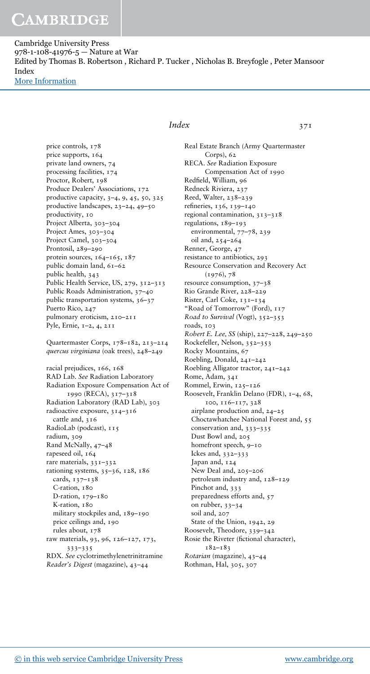Cambridge University Press 978-1-108-41976-5 — Nature at War Edited by Thomas B. Robertson , Richard P. Tucker , Nicholas B. Breyfogle , Peter Mansoor Index [More Information](www.cambridge.org/9781108419765)

#### price controls, 178 price supports, 164 private land owners, 74 processing facilities, 174 Proctor, Robert, 198 Produce Dealers' Associations, 172 productive capacity, 3–4, 9, 45, 50, 325 productive landscapes, 23–24, 49–50 productivity, 10 Project Alberta, 303–304 Project Ames, 303–304 Project Camel, 303–304 Prontosil, 289–290 protein sources, 164-165, 187 public domain land, 61–62 public health, 343 Public Health Service, US, 279, 312–313 Public Roads Administration, 37–40 public transportation systems, 36–37 Puerto Rico, 247 pulmonary eroticism, 210–211 Pyle, Ernie, 1–2, 4, 211

Quartermaster Corps, 178–182, 213–214 *quercus virginiana* (oak trees), 248–249

racial prejudices, 166, 168 RAD Lab. *See* Radiation Laboratory Radiation Exposure Compensation Act of 1990 (RECA), 317–318 Radiation Laboratory (RAD Lab), 303 radioactive exposure, 314–316 cattle and, 316 RadioLab (podcast), 115 radium, 309 Rand McNally, 47–48 rapeseed oil, 164 rare materials, 331–332 rationing systems, 35–36, 128, 186 cards, 137–138 C-ration, 180 D-ration, 179–180 K-ration, 180 military stockpiles and, 189-190 price ceilings and, 190 rules about, 178 raw materials, 93, 96, 126–127, 173, 333–335 RDX. *See* cyclotrimethylenetrinitramine *Reader's Digest* (magazine), 43–44

### *Index* 371

Real Estate Branch (Army Quartermaster Corps), 62 RECA. *See* Radiation Exposure Compensation Act of 1990 Redfield, William, 96 Redneck Riviera, 237 Reed, Walter, 238–239 refineries, 136, 139–140 regional contamination, 313–318 regulations, 189–193 environmental, 77–78, 239 oil and, 254–264 Renner, George, 47 resistance to antibiotics, 293 Resource Conservation and Recovery Act (1976), 78 resource consumption, 37–38 Rio Grande River, 228–229 Rister, Carl Coke, 131–134 "Road of Tomorrow" (Ford), 117 *Road to Survival* (Vogt), 352–353 roads, 103 *Robert E. Lee, SS* (ship), 227–228, 249–250 Rockefeller, Nelson, 352–353 Rocky Mountains, 67 Roebling, Donald, 241–242 Roebling Alligator tractor, 241–242 Rome, Adam, 341 Rommel, Erwin, 125–126 Roosevelt, Franklin Delano (FDR), 1–4, 68, 100, 116–117, 328 airplane production and, 24–25 Choctawhatchee National Forest and, 55 conservation and, 333–335 Dust Bowl and, 205 homefront speech, 9–10 Ickes and, 332–333 Japan and, 124 New Deal and, 205–206 petroleum industry and, 128–129 Pinchot and, 333 preparedness efforts and, 57 on rubber, 33–34 soil and, 207 State of the Union, 1942, 29 Roosevelt, Theodore, 339–342 Rosie the Riveter (fictional character), 182–183 *Rotarian* (magazine), 43–44 Rothman, Hal, 305, 307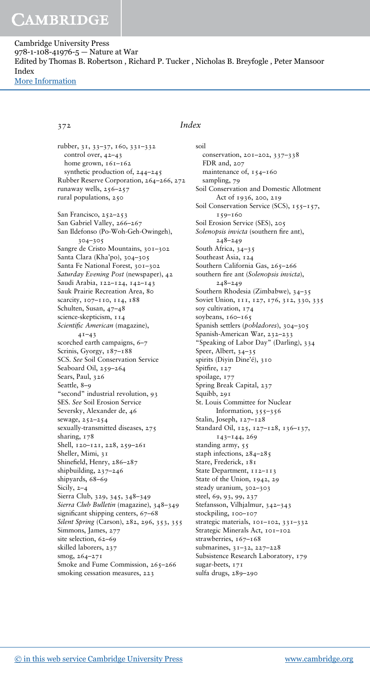Cambridge University Press 978-1-108-41976-5 — Nature at War Edited by Thomas B. Robertson , Richard P. Tucker , Nicholas B. Breyfogle , Peter Mansoor Index [More Information](www.cambridge.org/9781108419765)

rubber, 31, 33–37, 160, 331–332 control over, 42–43 home grown,  $161-162$ synthetic production of, 244–245 Rubber Reserve Corporation, 264–266, 272 runaway wells, 256–257 rural populations, 250 San Francisco, 252–253 San Gabriel Valley, 266–267 San Ildefonso (Po-Woh-Geh-Owingeh), 304–305 Sangre de Cristo Mountains, 301–302 Santa Clara (Kha'po), 304–305 Santa Fe National Forest, 301–302 *Saturday Evening Post* (newspaper), 42 Saudi Arabia, 122–124, 142–143 Sauk Prairie Recreation Area, 80 scarcity, 107–110, 114, 188 Schulten, Susan, 47–48 science-skepticism, 114 *Scientific American* (magazine), 41–43 scorched earth campaigns, 6–7 Scrinis, Gyorgy, 187–188 SCS. *See* Soil Conservation Service Seaboard Oil, 259–264 Sears, Paul, 326 Seattle, 8–9 "second" industrial revolution, 93 SES. *See* Soil Erosion Service Seversky, Alexander de, 46 sewage, 252–254 sexually-transmitted diseases, 275 sharing, 178 Shell, 120–121, 228, 259–261 Sheller, Mimi, 31 Shinefield, Henry, 286–287 shipbuilding, 237–246 shipyards, 68–69 Sicily, 2–4 Sierra Club, 329, 345, 348–349 *Sierra Club Bulletin* (magazine), 348–349 significant shipping centers, 67–68 *Silent Spring* (Carson), 282, 296, 353, 355 Simmons, James, 277 site selection, 62–69 skilled laborers, 237 smog, 264–271 Smoke and Fume Commission, 265-266 smoking cessation measures, 223

### 372 *Index*

soil conservation, 201–202, 337–338 FDR and, 207 maintenance of,  $154-160$ sampling, 79 Soil Conservation and Domestic Allotment Act of 1936, 200, 219 Soil Conservation Service (SCS), 155–157, 159–160 Soil Erosion Service (SES), 205 *Solenopsis invicta* (southern fire ant), 248–249 South Africa, 34–35 Southeast Asia, 124 Southern California Gas, 265-266 southern fire ant (*Solenopsis invicta*), 248–249 Southern Rhodesia (Zimbabwe), 34–35 Soviet Union, 111, 127, 176, 312, 330, 335 soy cultivation, 174 soybeans, 160-165 Spanish settlers (*pobladores*), 304–305 Spanish-American War, 232–233 "Speaking of Labor Day" (Darling), 334 Speer, Albert, 34–35 spirits (Diyin Dine'é), 310 Spitfire, 127 spoilage, 177 Spring Break Capital, 237 Squibb, 291 St. Louis Committee for Nuclear Information, 355–356 Stalin, Joseph, 127–128 Standard Oil, 125, 127–128, 136–137, 143–144, 269 standing army, 55 staph infections, 284–285 Stare, Frederick, 181 State Department, 112-113 State of the Union, 1942, 29 steady uranium, 302–303 steel, 69, 93, 99, 237 Stefansson, Vilhjalmur, 342–343 stockpiling, 100–107 strategic materials, 101–102, 331–332 Strategic Minerals Act, 101-102 strawberries, 167-168 submarines, 31–32, 227–228 Subsistence Research Laboratory, 179 sugar-beets, 171 sulfa drugs, 289–290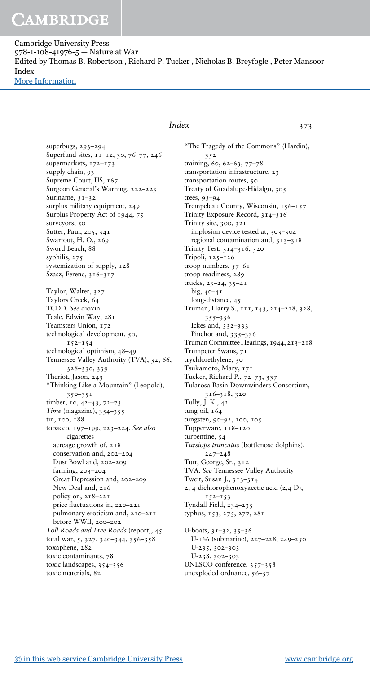Cambridge University Press 978-1-108-41976-5 — Nature at War Edited by Thomas B. Robertson , Richard P. Tucker , Nicholas B. Breyfogle , Peter Mansoor Index [More Information](www.cambridge.org/9781108419765)

> superbugs, 293–294 Superfund sites, 11–12, 30, 76–77, 246 supermarkets, 172–173 supply chain, 93 Supreme Court, US, 167 Surgeon General's Warning, 222–223 Suriname, 31-32 surplus military equipment, 249 Surplus Property Act of 1944, 75 surveyors, 50 Sutter, Paul, 205, 341 Swartout, H. O., 269 Sword Beach, 88 syphilis, 275 systemization of supply, 128 Szasz, Ferenc, 316–317 Taylor, Walter, 327 Taylors Creek, 64 TCDD. *See* dioxin Teale, Edwin Way, 281 Teamsters Union, 172 technological development, 50, 152–154 technological optimism, 48–49 Tennessee Valley Authority (TVA), 32, 66, 328–330, 339 Theriot, Jason, 243 "Thinking Like a Mountain" (Leopold), 350–351 timber, 10, 42–43, 72–73 *Time* (magazine), 354–355 tin, 100, 188 tobacco, 197–199, 223–224. *See also* cigarettes acreage growth of, 218 conservation and, 202–204 Dust Bowl and, 202–209 farming, 203–204 Great Depression and, 202–209 New Deal and, 216 policy on, 218–221 price fluctuations in, 220–221 pulmonary eroticism and, 210–211 .<br>before WWII, 200–202 *Toll Roads and Free Roads* (report), 45 total war, 5, 327, 340–344, 356–358 toxaphene, 282 toxic contaminants, 78 toxic landscapes, 354–356 toxic materials, 82

### *Index* 373

"The Tragedy of the Commons" (Hardin), 352 training, 60, 62–63, 77–78 transportation infrastructure, 23 transportation routes, 50 Treaty of Guadalupe-Hidalgo, 305 trees, 93–94 Trempeleau County, Wisconsin, 156–157 Trinity Exposure Record, 314–316 Trinity site, 300, 321 implosion device tested at, 303–304 regional contamination and, 313–318 Trinity Test, 314–316, 320 Tripoli, 125–126 troop numbers, 57–61 troop readiness, 289 trucks, 23–24, 35–41 big, 40–41 long-distance, 45 Truman, Harry S., 111, 143, 214–218, 328, 355–356 Ickes and, 332–333 Pinchot and, 335–336 Truman Committee Hearings, 1944, 213–218 Trumpeter Swans, 71 trychlorethylene, 30 Tsukamoto, Mary, 171 Tucker, Richard P., 72–73, 337 Tularosa Basin Downwinders Consortium, 316–318, 320 Tully, J. K., 42 tung oil, 164 tungsten, 90–92, 100, 105 Tupperware, 118–120 turpentine, 54 *Tursiops truncatus* (bottlenose dolphins), 247–248 Tutt, George, Sr., 312 TVA. *See* Tennessee Valley Authority Tweit, Susan J., 313–314 2, 4-dichlorophenoxyacetic acid (2,4-D),  $152 - 153$ Tyndall Field, 234–235 typhus, 153, 275, 277, 281 U-boats, 31–32, 35–36 U-166 (submarine), 227–228, 249–250 U-235, 302–303 U-238, 302–303 UNESCO conference, 357–358

unexploded ordnance, 56–57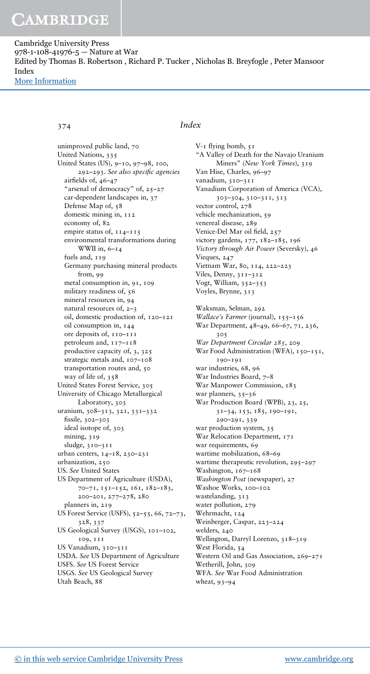Cambridge University Press 978-1-108-41976-5 — Nature at War Edited by Thomas B. Robertson , Richard P. Tucker , Nicholas B. Breyfogle , Peter Mansoor Index [More Information](www.cambridge.org/9781108419765)

unimproved public land, 70 United Nations, 335 United States (US), 9–10, 97–98, 100, 292–293. *See also specific agencies* airfields of, 46–47 "arsenal of democracy" of, 25–27 car-dependent landscapes in, 37 Defense Map of, 58 domestic mining in,  $112$ economy of, 82 empire status of, 114–115 environmental transformations during WWII in,  $6 - 14$ fuels and, 119 Germany purchasing mineral products from, 99 metal consumption in, 91, 109 military readiness of, 56 mineral resources in, 94 natural resources of, 2–3 oil, domestic production of, 120–121 oil consumption in, 144 ore deposits of, 110–111 petroleum and, 117–118 productive capacity of, 3, 325 strategic metals and, 107–108 transportation routes and, 50 way of life of, 358 United States Forest Service, 305 University of Chicago Metallurgical Laboratory, 303 uranium, 308–313, 321, 331–332 fissile, 302–303 ideal isotope of, 303 mining, 319 sludge, 310–311 urban centers, 14–18, 230–231 urbanization, 250 US. *See* United States US Department of Agriculture (USDA), 70–71, 151–152, 161, 182–183, 200–201, 277–278, 280 planners in, 219 US Forest Service (USFS), 52–55, 66, 72–73, 328, 337 US Geological Survey (USGS), 101–102, 109, 111 US Vanadium, 310–311 USDA. *See* US Department of Agriculture USFS. *See* US Forest Service USGS. *See* US Geological Survey Utah Beach, 88

#### 374 *Index*

V-1 flying bomb, 51 "A Valley of Death for the Navajo Uranium Miners" (*New York Times*), 319 Van Hise, Charles, 96–97 vanadium, 310–311 Vanadium Corporation of America (VCA), 303–304, 310–311, 313 vector control, 278 vehicle mechanization, 59 venereal disease, 289 Venice-Del Mar oil field, 257 victory gardens, 177, 182–185, 196 *Victory through Air Power* (Seversky), 46 Vieques, 247 Vietnam War, 80, 114, 222–223 Viles, Denny, 311–312 Vogt, William, 352–353 Voyles, Brynne, 313 Waksman, Selman, 292 *Wallace's Farmer* (journal), 155–156 War Department, 48–49, 66–67, 71, 236, 305 *War Department Circular 285*, 209 War Food Administration (WFA), 150-151, 190–191 war industries, 68, 96 War Industries Board, 7-8 War Manpower Commission, 183 war planners, 35–36 War Production Board (WPB), 23, 25, 31–34, 153, 185, 190–191, 290–291, 339 war production system, 35 War Relocation Department, 171 war requirements, 69 wartime mobilization, 68–69 wartime therapeutic revolution, 295-297 Washington, 167-168 *Washington Post* (newspaper), 27 Washoe Works, 100-102 wastelanding, 313 water pollution, 279 Wehrmacht, 124 Weinberger, Caspar, 223–224 welders, 240 Wellington, Darryl Lorenzo, 318–319 West Florida, 54 Western Oil and Gas Association, 269–271 Wetherill, John, 309 WFA. *See* War Food Administration wheat, 93–94